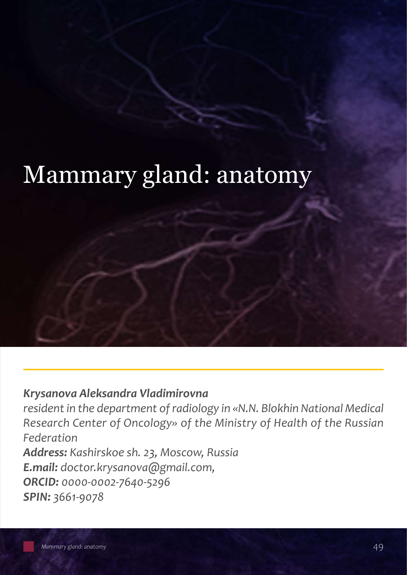# Mammary gland: anatomy

### *Krysanova Aleksandra Vladimirovna*

*resident in the department of radiology in «N.N. Blokhin National Medical Research Center of Oncology» оf the Ministry of Health of the Russian Federation* 

*Address: Kashirskoe sh. 23, Moscow, Russia E.mail: doctor.krysanova@gmail.com, ORCID: 0000-0002-7640-5296 SPIN: 3661-9078*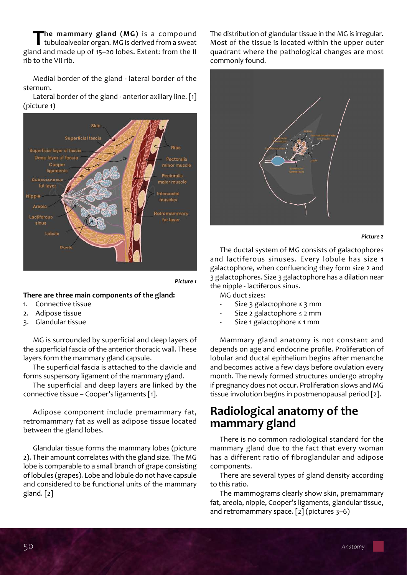**The mammary gland (MG)** is a compound<br>tubuloalveolar organ. MG is derived from a sweat gland and made up of 15–20 lobes. Extent: from the II rib to the VII rib.

Medial border of the gland - lateral border of the sternum.

Lateral border of the gland - anterior axillary line. [1] (picture 1)



*Picture 1*

#### **There are three main components of the gland:**

- 1. Connective tissue
- 2. Adipose tissue
- 3. Glandular tissue

MG is surrounded by superficial and deep layers of the superficial fascia of the anterior thoracic wall. These layers form the mammary gland capsule.

The superficial fascia is attached to the clavicle and forms suspensory ligament of the mammary gland.

The superficial and deep layers are linked by the connective tissue – Cooper's ligaments [1].

Adipose component include premammary fat, retromammary fat as well as adipose tissue located between the gland lobes.

Glandular tissue forms the mammary lobes (picture 2). Their amount correlates with the gland size. The MG lobe is comparable to a small branch of grape consisting of lobules (grapes). Lobe and lobule do not have capsule and considered to be functional units of the mammary gland. [2]

The distribution of glandular tissue in the MG is irregular. Most of the tissue is located within the upper outer quadrant where the pathological changes are most commonly found.



#### *Picture 2*

The ductal system of MG consists of galactophores and lactiferous sinuses. Every lobule has size 1 galactophore, when confluencing they form size 2 and 3 galactophores. Size 3 galactophore has a dilation near the nipple - lactiferous sinus.

MG duct sizes:

- Size 3 galactophore  $\leq$  3 mm
- Size 2 galactophore ≤ 2 mm
- Size 1 galactophore ≤ 1 mm

Mammary gland anatomy is not constant and depends on age and endocrine profile. Proliferation of lobular and ductal epithelium begins after menarche and becomes active a few days before ovulation every month. The newly formed structures undergo atrophy if pregnancy does not occur. Proliferation slows and MG tissue involution begins in postmenopausal period [2].

## **Radiological anatomy of the mammary gland**

There is no common radiological standard for the mammary gland due to the fact that every woman has a different ratio of fibroglandular and adipose components.

There are several types of gland density according to this ratio.

The mammograms clearly show skin, premammary fat, areola, nipple, Cooper's ligaments, glandular tissue, and retromammary space. [2] (pictures 3–6)